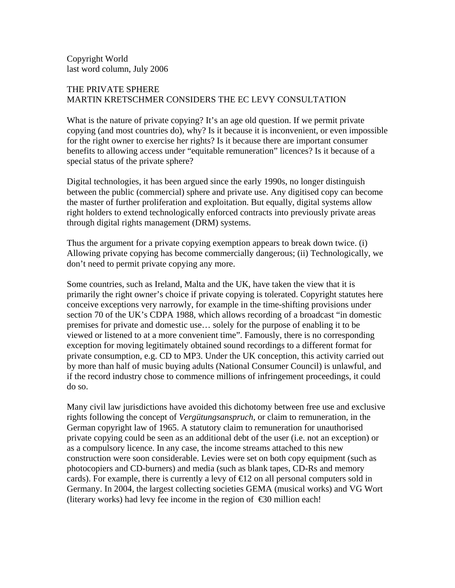Copyright World last word column, July 2006

## THE PRIVATE SPHERE MARTIN KRETSCHMER CONSIDERS THE EC LEVY CONSULTATION

What is the nature of private copying? It's an age old question. If we permit private copying (and most countries do), why? Is it because it is inconvenient, or even impossible for the right owner to exercise her rights? Is it because there are important consumer benefits to allowing access under "equitable remuneration" licences? Is it because of a special status of the private sphere?

Digital technologies, it has been argued since the early 1990s, no longer distinguish between the public (commercial) sphere and private use. Any digitised copy can become the master of further proliferation and exploitation. But equally, digital systems allow right holders to extend technologically enforced contracts into previously private areas through digital rights management (DRM) systems.

Thus the argument for a private copying exemption appears to break down twice. (i) Allowing private copying has become commercially dangerous; (ii) Technologically, we don't need to permit private copying any more.

Some countries, such as Ireland, Malta and the UK, have taken the view that it is primarily the right owner's choice if private copying is tolerated. Copyright statutes here conceive exceptions very narrowly, for example in the time-shifting provisions under section 70 of the UK's CDPA 1988, which allows recording of a broadcast "in domestic premises for private and domestic use… solely for the purpose of enabling it to be viewed or listened to at a more convenient time". Famously, there is no corresponding exception for moving legitimately obtained sound recordings to a different format for private consumption, e.g. CD to MP3. Under the UK conception, this activity carried out by more than half of music buying adults (National Consumer Council) is unlawful, and if the record industry chose to commence millions of infringement proceedings, it could do so.

Many civil law jurisdictions have avoided this dichotomy between free use and exclusive rights following the concept of *Vergütungsanspruch*, or claim to remuneration, in the German copyright law of 1965. A statutory claim to remuneration for unauthorised private copying could be seen as an additional debt of the user (i.e. not an exception) or as a compulsory licence. In any case, the income streams attached to this new construction were soon considerable. Levies were set on both copy equipment (such as photocopiers and CD-burners) and media (such as blank tapes, CD-Rs and memory cards). For example, there is currently a levy of  $\bigoplus$  2 on all personal computers sold in Germany. In 2004, the largest collecting societies GEMA (musical works) and VG Wort (literary works) had levy fee income in the region of  $\epsilon$ 30 million each!